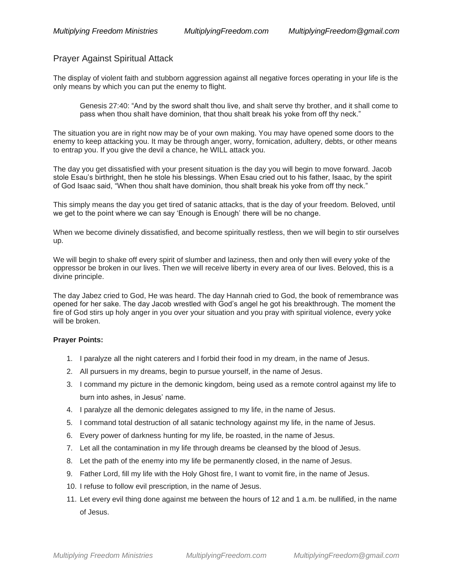## Prayer Against Spiritual Attack

The display of violent faith and stubborn aggression against all negative forces operating in your life is the only means by which you can put the enemy to flight.

Genesis 27:40: "And by the sword shalt thou live, and shalt serve thy brother, and it shall come to pass when thou shalt have dominion, that thou shalt break his yoke from off thy neck."

The situation you are in right now may be of your own making. You may have opened some doors to the enemy to keep attacking you. It may be through anger, worry, fornication, adultery, debts, or other means to entrap you. If you give the devil a chance, he WILL attack you.

The day you get dissatisfied with your present situation is the day you will begin to move forward. Jacob stole Esau's birthright, then he stole his blessings. When Esau cried out to his father, Isaac, by the spirit of God Isaac said, "When thou shalt have dominion, thou shalt break his yoke from off thy neck."

This simply means the day you get tired of satanic attacks, that is the day of your freedom. Beloved, until we get to the point where we can say 'Enough is Enough' there will be no change.

When we become divinely dissatisfied, and become spiritually restless, then we will begin to stir ourselves up.

We will begin to shake off every spirit of slumber and laziness, then and only then will every yoke of the oppressor be broken in our lives. Then we will receive liberty in every area of our lives. Beloved, this is a divine principle.

The day Jabez cried to God, He was heard. The day Hannah cried to God, the book of remembrance was opened for her sake. The day Jacob wrestled with God's angel he got his breakthrough. The moment the fire of God stirs up holy anger in you over your situation and you pray with spiritual violence, every yoke will be broken.

## **Prayer Points:**

- 1. I paralyze all the night caterers and I forbid their food in my dream, in the name of Jesus.
- 2. All pursuers in my dreams, begin to pursue yourself, in the name of Jesus.
- 3. I command my picture in the demonic kingdom, being used as a remote control against my life to burn into ashes, in Jesus' name.
- 4. I paralyze all the demonic delegates assigned to my life, in the name of Jesus.
- 5. I command total destruction of all satanic technology against my life, in the name of Jesus.
- 6. Every power of darkness hunting for my life, be roasted, in the name of Jesus.
- 7. Let all the contamination in my life through dreams be cleansed by the blood of Jesus.
- 8. Let the path of the enemy into my life be permanently closed, in the name of Jesus.
- 9. Father Lord, fill my life with the Holy Ghost fire, I want to vomit fire, in the name of Jesus.
- 10. I refuse to follow evil prescription, in the name of Jesus.
- 11. Let every evil thing done against me between the hours of 12 and 1 a.m. be nullified, in the name of Jesus.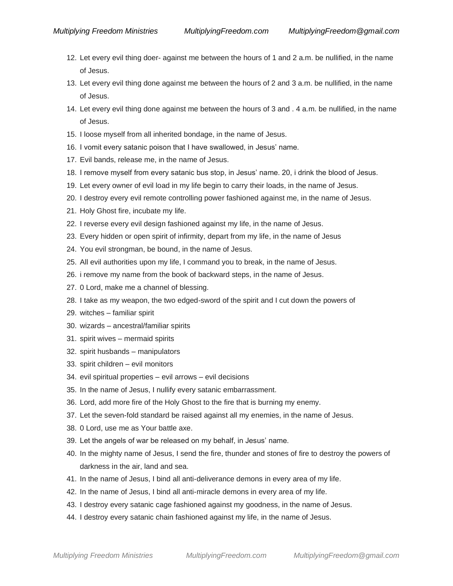- 12. Let every evil thing doer- against me between the hours of 1 and 2 a.m. be nullified, in the name of Jesus.
- 13. Let every evil thing done against me between the hours of 2 and 3 a.m. be nullified, in the name of Jesus.
- 14. Let every evil thing done against me between the hours of 3 and . 4 a.m. be nullified, in the name of Jesus.
- 15. I loose myself from all inherited bondage, in the name of Jesus.
- 16. I vomit every satanic poison that I have swallowed, in Jesus' name.
- 17. Evil bands, release me, in the name of Jesus.
- 18. I remove myself from every satanic bus stop, in Jesus' name. 20, i drink the blood of Jesus.
- 19. Let every owner of evil load in my life begin to carry their loads, in the name of Jesus.
- 20. I destroy every evil remote controlling power fashioned against me, in the name of Jesus.
- 21. Holy Ghost fire, incubate my life.
- 22. I reverse every evil design fashioned against my life, in the name of Jesus.
- 23. Every hidden or open spirit of infirmity, depart from my life, in the name of Jesus
- 24. You evil strongman, be bound, in the name of Jesus.
- 25. All evil authorities upon my life, I command you to break, in the name of Jesus.
- 26. i remove my name from the book of backward steps, in the name of Jesus.
- 27. 0 Lord, make me a channel of blessing.
- 28. I take as my weapon, the two edged-sword of the spirit and I cut down the powers of
- 29. witches familiar spirit
- 30. wizards ancestral/familiar spirits
- 31. spirit wives mermaid spirits
- 32. spirit husbands manipulators
- 33. spirit children evil monitors
- 34. evil spiritual properties evil arrows evil decisions
- 35. In the name of Jesus, I nullify every satanic embarrassment.
- 36. Lord, add more fire of the Holy Ghost to the fire that is burning my enemy.
- 37. Let the seven-fold standard be raised against all my enemies, in the name of Jesus.
- 38. 0 Lord, use me as Your battle axe.
- 39. Let the angels of war be released on my behalf, in Jesus' name.
- 40. In the mighty name of Jesus, I send the fire, thunder and stones of fire to destroy the powers of darkness in the air, land and sea.
- 41. In the name of Jesus, I bind all anti-deliverance demons in every area of my life.
- 42. In the name of Jesus, I bind all anti-miracle demons in every area of my life.
- 43. I destroy every satanic cage fashioned against my goodness, in the name of Jesus.
- 44. I destroy every satanic chain fashioned against my life, in the name of Jesus.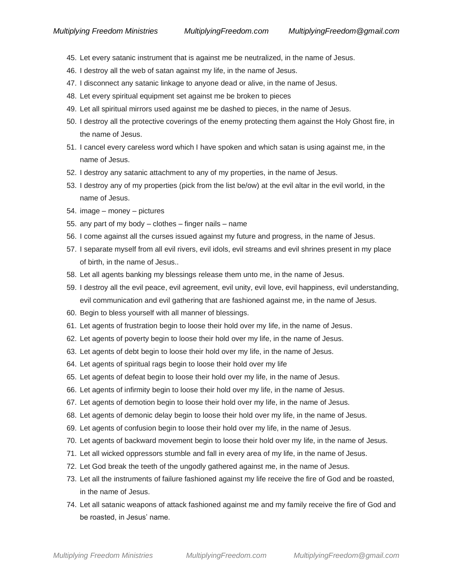- 45. Let every satanic instrument that is against me be neutralized, in the name of Jesus.
- 46. I destroy all the web of satan against my life, in the name of Jesus.
- 47. I disconnect any satanic linkage to anyone dead or alive, in the name of Jesus.
- 48. Let every spiritual equipment set against me be broken to pieces
- 49. Let all spiritual mirrors used against me be dashed to pieces, in the name of Jesus.
- 50. I destroy all the protective coverings of the enemy protecting them against the Holy Ghost fire, in the name of Jesus.
- 51. I cancel every careless word which I have spoken and which satan is using against me, in the name of Jesus.
- 52. I destroy any satanic attachment to any of my properties, in the name of Jesus.
- 53. I destroy any of my properties (pick from the list be/ow) at the evil altar in the evil world, in the name of Jesus.
- 54. image money pictures
- 55. any part of my body clothes finger nails name
- 56. I come against all the curses issued against my future and progress, in the name of Jesus.
- 57. I separate myself from all evil rivers, evil idols, evil streams and evil shrines present in my place of birth, in the name of Jesus..
- 58. Let all agents banking my blessings release them unto me, in the name of Jesus.
- 59. I destroy all the evil peace, evil agreement, evil unity, evil love, evil happiness, evil understanding, evil communication and evil gathering that are fashioned against me, in the name of Jesus.
- 60. Begin to bless yourself with all manner of blessings.
- 61. Let agents of frustration begin to loose their hold over my life, in the name of Jesus.
- 62. Let agents of poverty begin to loose their hold over my life, in the name of Jesus.
- 63. Let agents of debt begin to loose their hold over my life, in the name of Jesus.
- 64. Let agents of spiritual rags begin to loose their hold over my life
- 65. Let agents of defeat begin to loose their hold over my life, in the name of Jesus.
- 66. Let agents of infirmity begin to loose their hold over my life, in the name of Jesus.
- 67. Let agents of demotion begin to loose their hold over my life, in the name of Jesus.
- 68. Let agents of demonic delay begin to loose their hold over my life, in the name of Jesus.
- 69. Let agents of confusion begin to loose their hold over my life, in the name of Jesus.
- 70. Let agents of backward movement begin to loose their hold over my life, in the name of Jesus.
- 71. Let all wicked oppressors stumble and fall in every area of my life, in the name of Jesus.
- 72. Let God break the teeth of the ungodly gathered against me, in the name of Jesus.
- 73. Let all the instruments of failure fashioned against my life receive the fire of God and be roasted, in the name of Jesus.
- 74. Let all satanic weapons of attack fashioned against me and my family receive the fire of God and be roasted, in Jesus' name.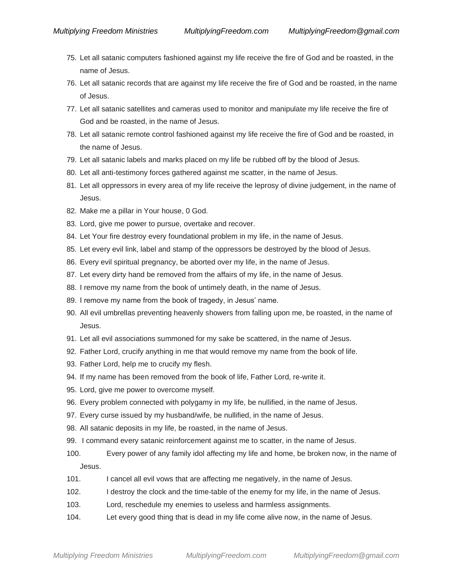- 75. Let all satanic computers fashioned against my life receive the fire of God and be roasted, in the name of Jesus.
- 76. Let all satanic records that are against my life receive the fire of God and be roasted, in the name of Jesus.
- 77. Let all satanic satellites and cameras used to monitor and manipulate my life receive the fire of God and be roasted, in the name of Jesus.
- 78. Let all satanic remote control fashioned against my life receive the fire of God and be roasted, in the name of Jesus.
- 79. Let all satanic labels and marks placed on my life be rubbed off by the blood of Jesus.
- 80. Let all anti-testimony forces gathered against me scatter, in the name of Jesus.
- 81. Let all oppressors in every area of my life receive the leprosy of divine judgement, in the name of Jesus.
- 82. Make me a pillar in Your house, 0 God.
- 83. Lord, give me power to pursue, overtake and recover.
- 84. Let Your fire destroy every foundational problem in my life, in the name of Jesus.
- 85. Let every evil link, label and stamp of the oppressors be destroyed by the blood of Jesus.
- 86. Every evil spiritual pregnancy, be aborted over my life, in the name of Jesus.
- 87. Let every dirty hand be removed from the affairs of my life, in the name of Jesus.
- 88. I remove my name from the book of untimely death, in the name of Jesus.
- 89. I remove my name from the book of tragedy, in Jesus' name.
- 90. All evil umbrellas preventing heavenly showers from falling upon me, be roasted, in the name of Jesus.
- 91. Let all evil associations summoned for my sake be scattered, in the name of Jesus.
- 92. Father Lord, crucify anything in me that would remove my name from the book of life.
- 93. Father Lord, help me to crucify my flesh.
- 94. If my name has been removed from the book of life, Father Lord, re-write it.
- 95. Lord, give me power to overcome myself.
- 96. Every problem connected with polygamy in my life, be nullified, in the name of Jesus.
- 97. Every curse issued by my husband/wife, be nullified, in the name of Jesus.
- 98. All satanic deposits in my life, be roasted, in the name of Jesus.
- 99. I command every satanic reinforcement against me to scatter, in the name of Jesus.
- 100. Every power of any family idol affecting my life and home, be broken now, in the name of Jesus.
- 101. I cancel all evil vows that are affecting me negatively, in the name of Jesus.
- 102. I destroy the clock and the time-table of the enemy for my life, in the name of Jesus.
- 103. Lord, reschedule my enemies to useless and harmless assignments.
- 104. Let every good thing that is dead in my life come alive now, in the name of Jesus.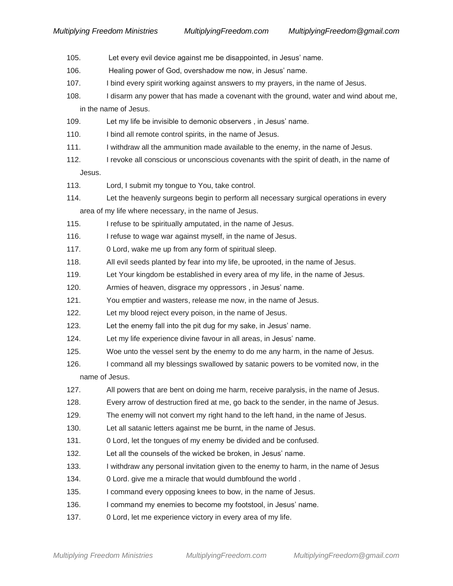- 105. Let every evil device against me be disappointed, in Jesus' name.
- 106. Healing power of God, overshadow me now, in Jesus' name.
- 107. I bind every spirit working against answers to my prayers, in the name of Jesus.
- 108. I disarm any power that has made a covenant with the ground, water and wind about me, in the name of Jesus.
- 109. Let my life be invisible to demonic observers , in Jesus' name.
- 110. I bind all remote control spirits, in the name of Jesus.
- 111. I withdraw all the ammunition made available to the enemy, in the name of Jesus.
- 112. I revoke all conscious or unconscious covenants with the spirit of death, in the name of Jesus.
- 113. Lord, I submit my tongue to You, take control.
- 114. Let the heavenly surgeons begin to perform all necessary surgical operations in every area of my life where necessary, in the name of Jesus.
- 115. I refuse to be spiritually amputated, in the name of Jesus.
- 116. I refuse to wage war against myself, in the name of Jesus.
- 117. 0 Lord, wake me up from any form of spiritual sleep.
- 118. All evil seeds planted by fear into my life, be uprooted, in the name of Jesus.
- 119. Let Your kingdom be established in every area of my life, in the name of Jesus.
- 120. Armies of heaven, disgrace my oppressors , in Jesus' name.
- 121. You emptier and wasters, release me now, in the name of Jesus.
- 122. Let my blood reject every poison, in the name of Jesus.
- 123. Let the enemy fall into the pit dug for my sake, in Jesus' name.
- 124. Let my life experience divine favour in all areas, in Jesus' name.
- 125. Woe unto the vessel sent by the enemy to do me any harm, in the name of Jesus.
- 126. I command all my blessings swallowed by satanic powers to be vomited now, in the name of Jesus.
- 127. All powers that are bent on doing me harm, receive paralysis, in the name of Jesus.
- 128. Every arrow of destruction fired at me, go back to the sender, in the name of Jesus.
- 129. The enemy will not convert my right hand to the left hand, in the name of Jesus.
- 130. Let all satanic letters against me be burnt, in the name of Jesus.
- 131. 0 Lord, let the tongues of my enemy be divided and be confused.
- 132. Let all the counsels of the wicked be broken, in Jesus' name.
- 133. I withdraw any personal invitation given to the enemy to harm, in the name of Jesus
- 134. 0 Lord. give me a miracle that would dumbfound the world .
- 135. I command every opposing knees to bow, in the name of Jesus.
- 136. I command my enemies to become my footstool, in Jesus' name.
- 137. 0 Lord, let me experience victory in every area of my life.